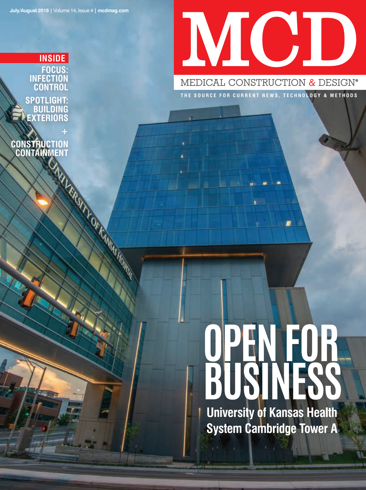# MCID

MEDICAL CONSTRUCTION & DESIGN®

**THE SOURCE FOR CURRENT NEWS, TECHNOLOGY & METHODS**

**FOCUS: INFECTION CONTROL SPOTLIGHT: BUILDING EXTERIORS INSIDE**

**CONSTRUCTION CONTAINMENT** 

## **OPEN FOR BUSINESS**

**University of Kansas Health System Cambridge Tower A**